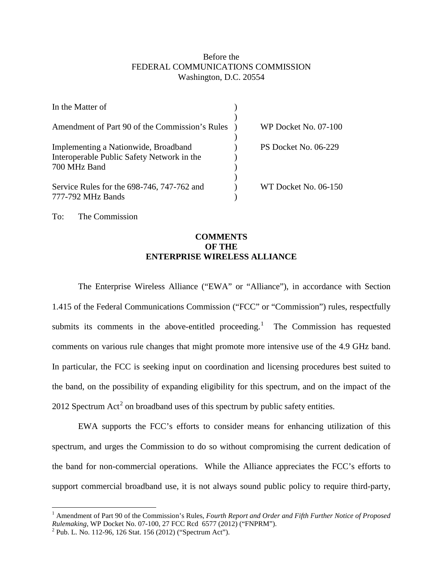## Before the FEDERAL COMMUNICATIONS COMMISSION Washington, D.C. 20554

| In the Matter of                                                                                   |                      |
|----------------------------------------------------------------------------------------------------|----------------------|
| Amendment of Part 90 of the Commission's Rules                                                     | WP Docket No. 07-100 |
| Implementing a Nationwide, Broadband<br>Interoperable Public Safety Network in the<br>700 MHz Band | PS Docket No. 06-229 |
| Service Rules for the 698-746, 747-762 and<br>777-792 MHz Bands                                    | WT Docket No. 06-150 |

To: The Commission

# **COMMENTS OF THE ENTERPRISE WIRELESS ALLIANCE**

The Enterprise Wireless Alliance ("EWA" or "Alliance"), in accordance with Section 1.415 of the Federal Communications Commission ("FCC" or "Commission") rules, respectfully submits its comments in the above-entitled proceeding.<sup>[1](#page-0-0)</sup> The Commission has requested comments on various rule changes that might promote more intensive use of the 4.9 GHz band. In particular, the FCC is seeking input on coordination and licensing procedures best suited to the band, on the possibility of expanding eligibility for this spectrum, and on the impact of the [2](#page-0-1)012 Spectrum Act<sup>2</sup> on broadband uses of this spectrum by public safety entities.

EWA supports the FCC's efforts to consider means for enhancing utilization of this spectrum, and urges the Commission to do so without compromising the current dedication of the band for non-commercial operations. While the Alliance appreciates the FCC's efforts to support commercial broadband use, it is not always sound public policy to require third-party,

<span id="page-0-0"></span><sup>&</sup>lt;sup>1</sup> Amendment of Part 90 of the Commission's Rules, *Fourth Report and Order and Fifth Further Notice of Proposed Rulemaking*, WP Docket No. 07-100, 27 FCC Rcd 6577 (2012) ("FNPRM").<br><sup>2</sup> Pub. L. No. 112-96, 126 Stat. 156 (2012) ("Spectrum Act").

<span id="page-0-1"></span>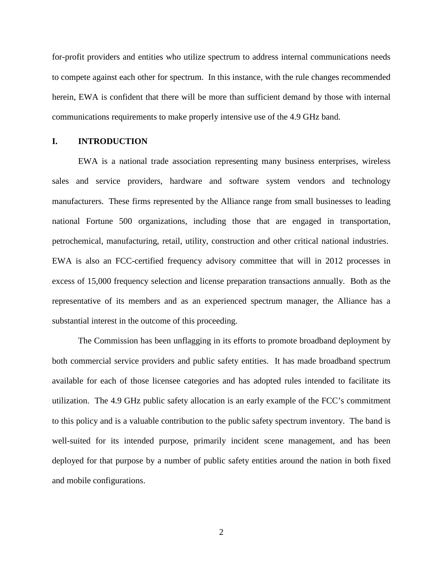for-profit providers and entities who utilize spectrum to address internal communications needs to compete against each other for spectrum. In this instance, with the rule changes recommended herein, EWA is confident that there will be more than sufficient demand by those with internal communications requirements to make properly intensive use of the 4.9 GHz band.

### **I. INTRODUCTION**

EWA is a national trade association representing many business enterprises, wireless sales and service providers, hardware and software system vendors and technology manufacturers. These firms represented by the Alliance range from small businesses to leading national Fortune 500 organizations, including those that are engaged in transportation, petrochemical, manufacturing, retail, utility, construction and other critical national industries. EWA is also an FCC-certified frequency advisory committee that will in 2012 processes in excess of 15,000 frequency selection and license preparation transactions annually. Both as the representative of its members and as an experienced spectrum manager, the Alliance has a substantial interest in the outcome of this proceeding.

The Commission has been unflagging in its efforts to promote broadband deployment by both commercial service providers and public safety entities. It has made broadband spectrum available for each of those licensee categories and has adopted rules intended to facilitate its utilization. The 4.9 GHz public safety allocation is an early example of the FCC's commitment to this policy and is a valuable contribution to the public safety spectrum inventory. The band is well-suited for its intended purpose, primarily incident scene management, and has been deployed for that purpose by a number of public safety entities around the nation in both fixed and mobile configurations.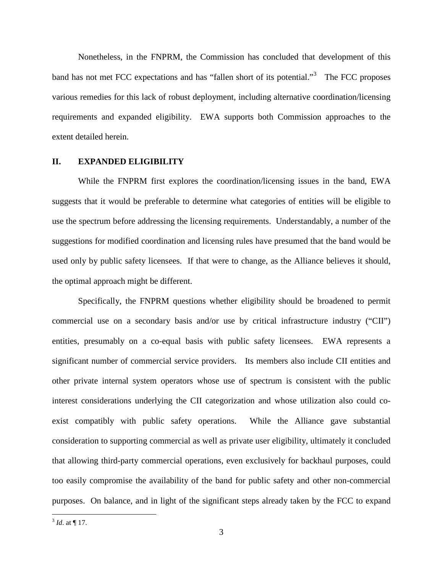Nonetheless, in the FNPRM, the Commission has concluded that development of this band has not met FCC expectations and has "fallen short of its potential."<sup>[3](#page-2-0)</sup> The FCC proposes various remedies for this lack of robust deployment, including alternative coordination/licensing requirements and expanded eligibility. EWA supports both Commission approaches to the extent detailed herein.

#### **II. EXPANDED ELIGIBILITY**

While the FNPRM first explores the coordination/licensing issues in the band, EWA suggests that it would be preferable to determine what categories of entities will be eligible to use the spectrum before addressing the licensing requirements. Understandably, a number of the suggestions for modified coordination and licensing rules have presumed that the band would be used only by public safety licensees. If that were to change, as the Alliance believes it should, the optimal approach might be different.

Specifically, the FNPRM questions whether eligibility should be broadened to permit commercial use on a secondary basis and/or use by critical infrastructure industry ("CII") entities, presumably on a co-equal basis with public safety licensees. EWA represents a significant number of commercial service providers. Its members also include CII entities and other private internal system operators whose use of spectrum is consistent with the public interest considerations underlying the CII categorization and whose utilization also could coexist compatibly with public safety operations. While the Alliance gave substantial consideration to supporting commercial as well as private user eligibility, ultimately it concluded that allowing third-party commercial operations, even exclusively for backhaul purposes, could too easily compromise the availability of the band for public safety and other non-commercial purposes. On balance, and in light of the significant steps already taken by the FCC to expand

<span id="page-2-0"></span> $3$  *Id.* at ¶ 17.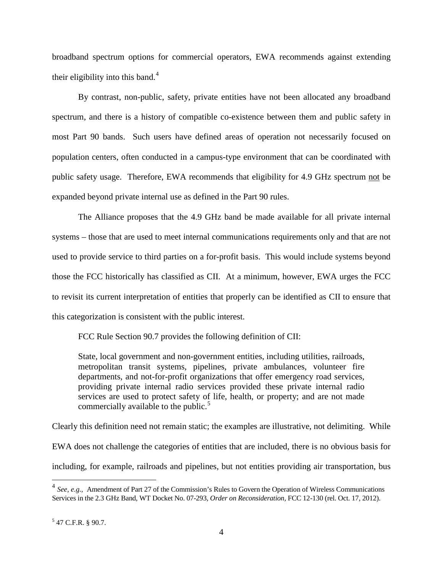broadband spectrum options for commercial operators, EWA recommends against extending their eligibility into this band.<sup>[4](#page-3-0)</sup>

By contrast, non-public, safety, private entities have not been allocated any broadband spectrum, and there is a history of compatible co-existence between them and public safety in most Part 90 bands. Such users have defined areas of operation not necessarily focused on population centers, often conducted in a campus-type environment that can be coordinated with public safety usage. Therefore, EWA recommends that eligibility for 4.9 GHz spectrum not be expanded beyond private internal use as defined in the Part 90 rules.

The Alliance proposes that the 4.9 GHz band be made available for all private internal systems – those that are used to meet internal communications requirements only and that are not used to provide service to third parties on a for-profit basis. This would include systems beyond those the FCC historically has classified as CII. At a minimum, however, EWA urges the FCC to revisit its current interpretation of entities that properly can be identified as CII to ensure that this categorization is consistent with the public interest.

FCC Rule Section 90.7 provides the following definition of CII:

State, local government and non-government entities, including utilities, railroads, metropolitan transit systems, pipelines, private ambulances, volunteer fire departments, and not-for-profit organizations that offer emergency road services, providing private internal radio services provided these private internal radio services are used to protect safety of life, health, or property; and are not made commercially available to the public.<sup>[5](#page-3-1)</sup>

Clearly this definition need not remain static; the examples are illustrative, not delimiting. While EWA does not challenge the categories of entities that are included, there is no obvious basis for including, for example, railroads and pipelines, but not entities providing air transportation, bus

<span id="page-3-0"></span><sup>&</sup>lt;sup>4</sup> *See, e.g.,* Amendment of Part 27 of the Commission's Rules to Govern the Operation of Wireless Communications Services in the 2.3 GHz Band, WT Docket No. 07-293, *Order on Reconsideration,* FCC 12-130 (rel. Oct. 17, 2012).

<span id="page-3-1"></span> $5$  47 C.F.R. § 90.7.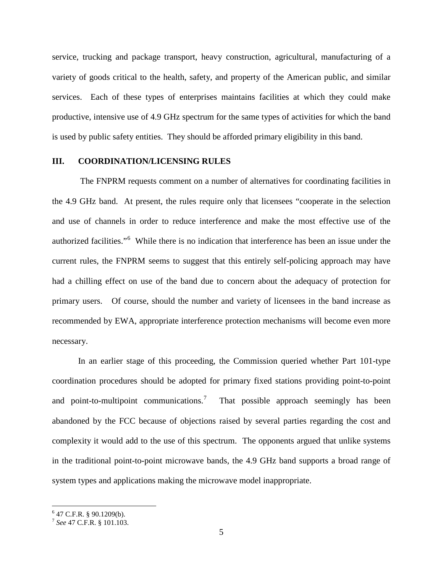service, trucking and package transport, heavy construction, agricultural, manufacturing of a variety of goods critical to the health, safety, and property of the American public, and similar services. Each of these types of enterprises maintains facilities at which they could make productive, intensive use of 4.9 GHz spectrum for the same types of activities for which the band is used by public safety entities. They should be afforded primary eligibility in this band.

#### **III. COORDINATION/LICENSING RULES**

The FNPRM requests comment on a number of alternatives for coordinating facilities in the 4.9 GHz band. At present, the rules require only that licensees "cooperate in the selection and use of channels in order to reduce interference and make the most effective use of the authorized facilities."<sup>[6](#page-4-0)</sup> While there is no indication that interference has been an issue under the current rules, the FNPRM seems to suggest that this entirely self-policing approach may have had a chilling effect on use of the band due to concern about the adequacy of protection for primary users. Of course, should the number and variety of licensees in the band increase as recommended by EWA, appropriate interference protection mechanisms will become even more necessary.

In an earlier stage of this proceeding, the Commission queried whether Part 101-type coordination procedures should be adopted for primary fixed stations providing point-to-point and point-to-multipoint communications.<sup>[7](#page-4-1)</sup> That possible approach seemingly has been abandoned by the FCC because of objections raised by several parties regarding the cost and complexity it would add to the use of this spectrum. The opponents argued that unlike systems in the traditional point-to-point microwave bands, the 4.9 GHz band supports a broad range of system types and applications making the microwave model inappropriate.

<span id="page-4-0"></span> $647$  C.F.R. § 90.1209(b).

<span id="page-4-1"></span><sup>7</sup> *See* 47 C.F.R. § 101.103.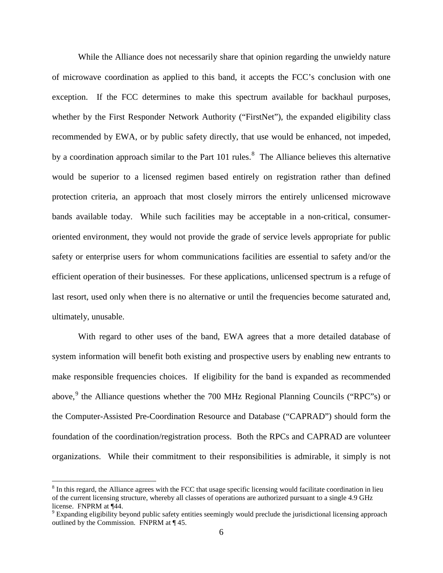While the Alliance does not necessarily share that opinion regarding the unwieldy nature of microwave coordination as applied to this band, it accepts the FCC's conclusion with one exception. If the FCC determines to make this spectrum available for backhaul purposes, whether by the First Responder Network Authority ("FirstNet"), the expanded eligibility class recommended by EWA, or by public safety directly, that use would be enhanced, not impeded, by a coordination approach similar to the Part 101 rules.<sup>[8](#page-5-0)</sup> The Alliance believes this alternative would be superior to a licensed regimen based entirely on registration rather than defined protection criteria, an approach that most closely mirrors the entirely unlicensed microwave bands available today. While such facilities may be acceptable in a non-critical, consumeroriented environment, they would not provide the grade of service levels appropriate for public safety or enterprise users for whom communications facilities are essential to safety and/or the efficient operation of their businesses. For these applications, unlicensed spectrum is a refuge of last resort, used only when there is no alternative or until the frequencies become saturated and, ultimately, unusable.

With regard to other uses of the band, EWA agrees that a more detailed database of system information will benefit both existing and prospective users by enabling new entrants to make responsible frequencies choices. If eligibility for the band is expanded as recommended above,<sup>[9](#page-5-1)</sup> the Alliance questions whether the 700 MHz Regional Planning Councils ("RPC"s) or the Computer-Assisted Pre-Coordination Resource and Database ("CAPRAD") should form the foundation of the coordination/registration process. Both the RPCs and CAPRAD are volunteer organizations. While their commitment to their responsibilities is admirable, it simply is not

<span id="page-5-0"></span> $8$  In this regard, the Alliance agrees with the FCC that usage specific licensing would facilitate coordination in lieu of the current licensing structure, whereby all classes of operations are authorized pursuant to a single 4.9 GHz license. FNPRM at ¶44.

<span id="page-5-1"></span> $9$  Expanding eligibility beyond public safety entities seemingly would preclude the jurisdictional licensing approach outlined by the Commission. FNPRM at ¶ 45.